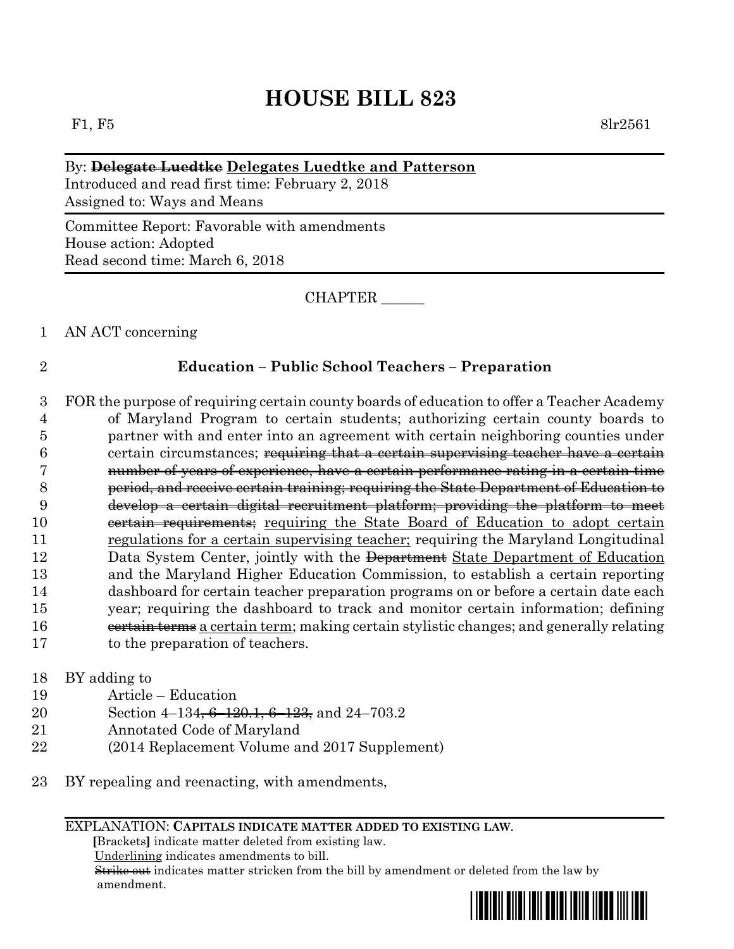# **HOUSE BILL 823**

F1, F5 8lr2561

### By: **Delegate Luedtke Delegates Luedtke and Patterson**

Introduced and read first time: February 2, 2018 Assigned to: Ways and Means

Committee Report: Favorable with amendments House action: Adopted Read second time: March 6, 2018

CHAPTER \_\_\_\_\_\_

1 AN ACT concerning

### 2 **Education – Public School Teachers – Preparation**

 FOR the purpose of requiring certain county boards of education to offer a Teacher Academy of Maryland Program to certain students; authorizing certain county boards to partner with and enter into an agreement with certain neighboring counties under 6 certain circumstances; requiring that a certain supervising teacher have a certain number of years of experience, have a certain performance rating in a certain time period, and receive certain training; requiring the State Department of Education to develop a certain digital recruitment platform; providing the platform to meet 10 eertain requirements; requiring the State Board of Education to adopt certain regulations for a certain supervising teacher; requiring the Maryland Longitudinal 12 Data System Center, jointly with the Department State Department of Education and the Maryland Higher Education Commission, to establish a certain reporting dashboard for certain teacher preparation programs on or before a certain date each year; requiring the dashboard to track and monitor certain information; defining 16 eertain terms a certain term; making certain stylistic changes; and generally relating to the preparation of teachers.

- 18 BY adding to
- 19 Article Education
- 20 Section 4–134<del>, 6–120.1, 6–123,</del> and 24–703.2
- 21 Annotated Code of Maryland
- 22 (2014 Replacement Volume and 2017 Supplement)
- 23 BY repealing and reenacting, with amendments,

#### EXPLANATION: **CAPITALS INDICATE MATTER ADDED TO EXISTING LAW**.

 **[**Brackets**]** indicate matter deleted from existing law.

Underlining indicates amendments to bill.

 Strike out indicates matter stricken from the bill by amendment or deleted from the law by amendment.

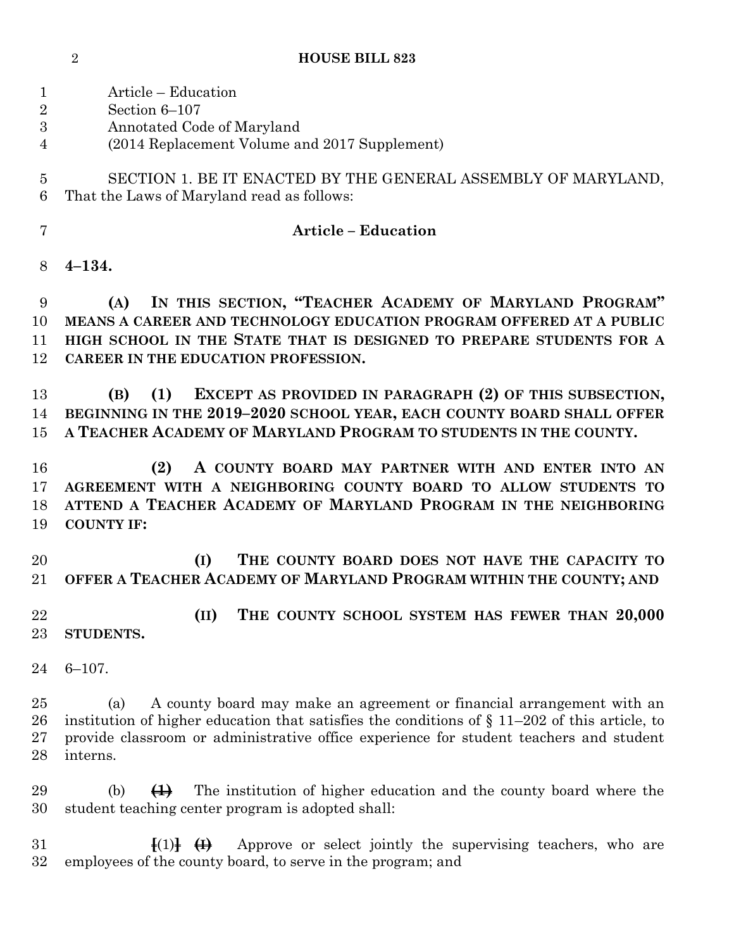| <b>HOUSE BILL 823</b> |  |
|-----------------------|--|
|                       |  |

| 1<br>$\overline{2}$<br>3<br>$\overline{4}$ | Article – Education<br>Section 6-107<br>Annotated Code of Maryland<br>(2014 Replacement Volume and 2017 Supplement)                                                                                                                                                                    |
|--------------------------------------------|----------------------------------------------------------------------------------------------------------------------------------------------------------------------------------------------------------------------------------------------------------------------------------------|
| $\overline{5}$<br>6                        | SECTION 1. BE IT ENACTED BY THE GENERAL ASSEMBLY OF MARYLAND,<br>That the Laws of Maryland read as follows:                                                                                                                                                                            |
| $\overline{7}$                             | <b>Article - Education</b>                                                                                                                                                                                                                                                             |
| 8                                          | $4 - 134.$                                                                                                                                                                                                                                                                             |
| 9<br>10<br>11<br>12                        | IN THIS SECTION, "TEACHER ACADEMY OF MARYLAND PROGRAM"<br>(A)<br>MEANS A CAREER AND TECHNOLOGY EDUCATION PROGRAM OFFERED AT A PUBLIC<br>HIGH SCHOOL IN THE STATE THAT IS DESIGNED TO PREPARE STUDENTS FOR A<br>CAREER IN THE EDUCATION PROFESSION.                                     |
| 13<br>14<br>15                             | EXCEPT AS PROVIDED IN PARAGRAPH (2) OF THIS SUBSECTION,<br>(1)<br>(B)<br>BEGINNING IN THE 2019-2020 SCHOOL YEAR, EACH COUNTY BOARD SHALL OFFER<br>A TEACHER ACADEMY OF MARYLAND PROGRAM TO STUDENTS IN THE COUNTY.                                                                     |
| 16<br>17<br>18<br>19                       | (2)<br>A COUNTY BOARD MAY PARTNER WITH AND ENTER INTO AN<br>AGREEMENT WITH A NEIGHBORING COUNTY BOARD TO ALLOW STUDENTS TO<br>ATTEND A TEACHER ACADEMY OF MARYLAND PROGRAM IN THE NEIGHBORING<br><b>COUNTY IF:</b>                                                                     |
| 20<br>21                                   | THE COUNTY BOARD DOES NOT HAVE THE CAPACITY TO<br>(I)<br>OFFER A TEACHER ACADEMY OF MARYLAND PROGRAM WITHIN THE COUNTY; AND                                                                                                                                                            |
| 22<br>23                                   | THE COUNTY SCHOOL SYSTEM HAS FEWER THAN 20,000<br>(II)<br>STUDENTS.                                                                                                                                                                                                                    |
| 24                                         | $6 - 107.$                                                                                                                                                                                                                                                                             |
| 25<br>26<br>27<br>28                       | A county board may make an agreement or financial arrangement with an<br>(a)<br>institution of higher education that satisfies the conditions of $\S 11-202$ of this article, to<br>provide classroom or administrative office experience for student teachers and student<br>interns. |
| 29<br>30                                   | The institution of higher education and the county board where the<br>$\bigoplus$<br>(b)<br>student teaching center program is adopted shall:                                                                                                                                          |
| 31<br>32                                   | Approve or select jointly the supervising teachers, who are<br>$\{ (1) \}$ $\{ \}$<br>employees of the county board, to serve in the program; and                                                                                                                                      |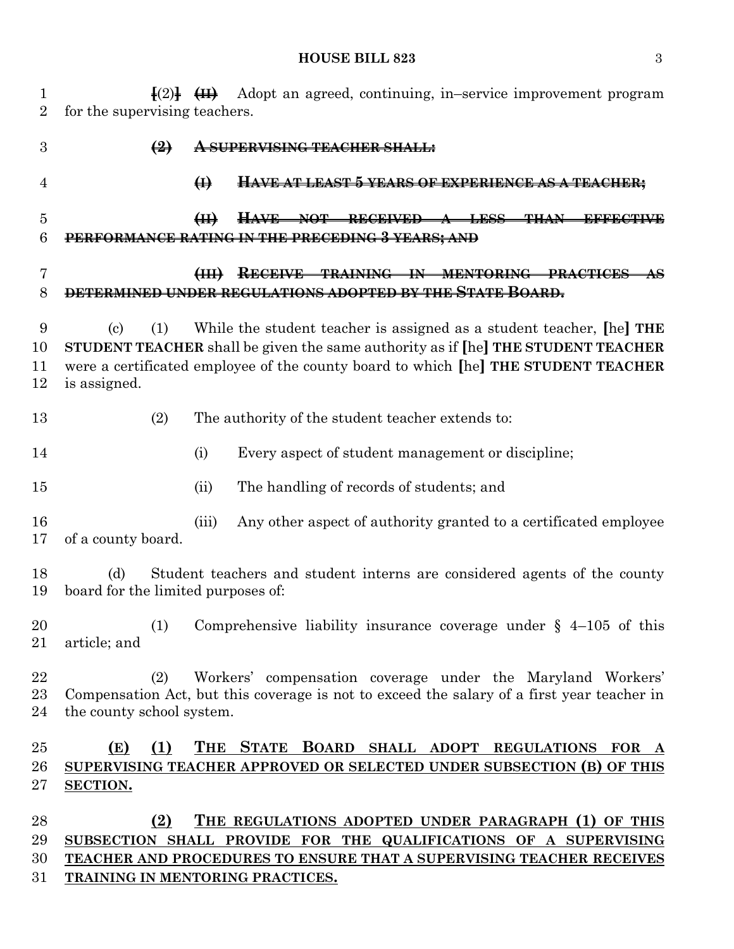#### **HOUSE BILL 823** 3

 **[**(2)**] (II)** Adopt an agreed, continuing, in–service improvement program for the supervising teachers. **(2) A SUPERVISING TEACHER SHALL: (I) HAVE AT LEAST 5 YEARS OF EXPERIENCE AS A TEACHER; (II) HAVE NOT RECEIVED A LESS THAN EFFECTIVE PERFORMANCE RATING IN THE PRECEDING 3 YEARS; AND (III) RECEIVE TRAINING IN MENTORING PRACTICES AS DETERMINED UNDER REGULATIONS ADOPTED BY THE STATE BOARD.** (c) (1) While the student teacher is assigned as a student teacher, **[**he**] THE STUDENT TEACHER** shall be given the same authority as if **[**he**] THE STUDENT TEACHER** were a certificated employee of the county board to which **[**he**] THE STUDENT TEACHER** is assigned. (2) The authority of the student teacher extends to: (i) Every aspect of student management or discipline; (ii) The handling of records of students; and (iii) Any other aspect of authority granted to a certificated employee of a county board. (d) Student teachers and student interns are considered agents of the county board for the limited purposes of: (1) Comprehensive liability insurance coverage under § 4–105 of this article; and (2) Workers' compensation coverage under the Maryland Workers' Compensation Act, but this coverage is not to exceed the salary of a first year teacher in the county school system. **(E) (1) THE STATE BOARD SHALL ADOPT REGULATIONS FOR A SUPERVISING TEACHER APPROVED OR SELECTED UNDER SUBSECTION (B) OF THIS SECTION. (2) THE REGULATIONS ADOPTED UNDER PARAGRAPH (1) OF THIS SUBSECTION SHALL PROVIDE FOR THE QUALIFICATIONS OF A SUPERVISING TEACHER AND PROCEDURES TO ENSURE THAT A SUPERVISING TEACHER RECEIVES TRAINING IN MENTORING PRACTICES.**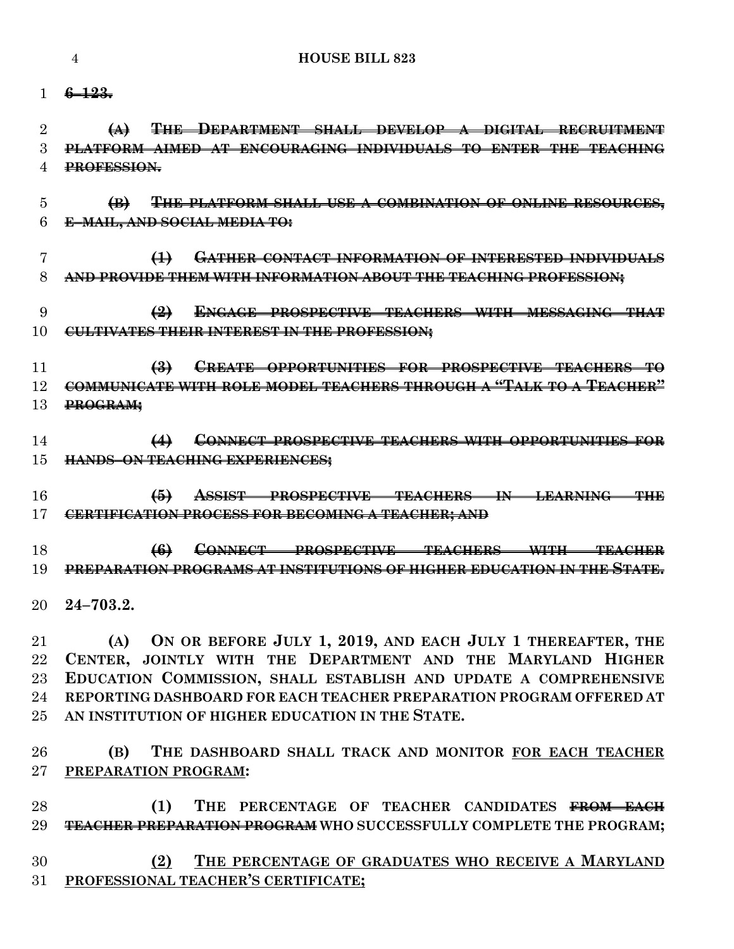**6–123.**

 **(A) THE DEPARTMENT SHALL DEVELOP A DIGITAL RECRUITMENT PLATFORM AIMED AT ENCOURAGING INDIVIDUALS TO ENTER THE TEACHING PROFESSION.**

 **(B) THE PLATFORM SHALL USE A COMBINATION OF ONLINE RESOURCES, E–MAIL, AND SOCIAL MEDIA TO:**

 **(1) GATHER CONTACT INFORMATION OF INTERESTED INDIVIDUALS AND PROVIDE THEM WITH INFORMATION ABOUT THE TEACHING PROFESSION;**

## **(2) ENGAGE PROSPECTIVE TEACHERS WITH MESSAGING THAT CULTIVATES THEIR INTEREST IN THE PROFESSION;**

 **(3) CREATE OPPORTUNITIES FOR PROSPECTIVE TEACHERS TO COMMUNICATE WITH ROLE MODEL TEACHERS THROUGH A "TALK TO A TEACHER" PROGRAM;**

 **(4) CONNECT PROSPECTIVE TEACHERS WITH OPPORTUNITIES FOR HANDS–ON TEACHING EXPERIENCES;**

 **(5) ASSIST PROSPECTIVE TEACHERS IN LEARNING THE CERTIFICATION PROCESS FOR BECOMING A TEACHER; AND**

 **(6) CONNECT PROSPECTIVE TEACHERS WITH TEACHER PREPARATION PROGRAMS AT INSTITUTIONS OF HIGHER EDUCATION IN THE STATE.**

**24–703.2.**

 **(A) ON OR BEFORE JULY 1, 2019, AND EACH JULY 1 THEREAFTER, THE CENTER, JOINTLY WITH THE DEPARTMENT AND THE MARYLAND HIGHER EDUCATION COMMISSION, SHALL ESTABLISH AND UPDATE A COMPREHENSIVE REPORTING DASHBOARD FOR EACH TEACHER PREPARATION PROGRAM OFFERED AT AN INSTITUTION OF HIGHER EDUCATION IN THE STATE.**

 **(B) THE DASHBOARD SHALL TRACK AND MONITOR FOR EACH TEACHER PREPARATION PROGRAM:**

 **(1) THE PERCENTAGE OF TEACHER CANDIDATES FROM EACH TEACHER PREPARATION PROGRAM WHO SUCCESSFULLY COMPLETE THE PROGRAM;**

 **(2) THE PERCENTAGE OF GRADUATES WHO RECEIVE A MARYLAND PROFESSIONAL TEACHER'S CERTIFICATE;**